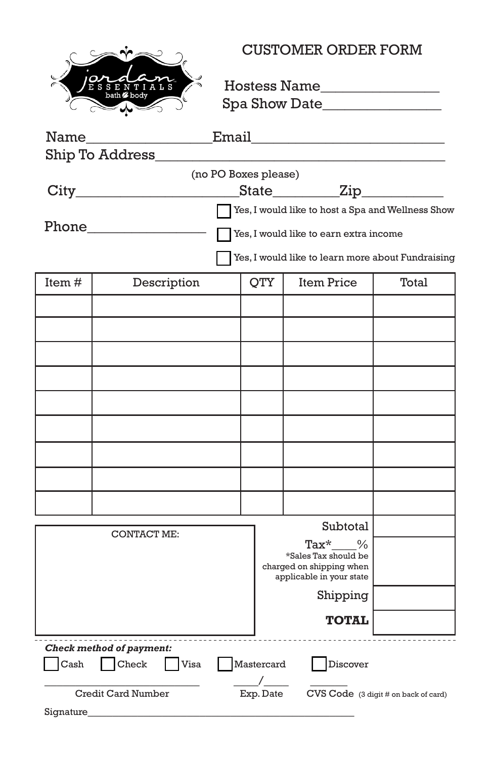

#### CUSTOMER ORDER FORM

Hostess Name\_\_\_\_\_\_\_\_\_\_\_\_\_\_\_\_ Spa Show Date\_\_\_\_\_\_\_\_\_\_\_\_\_\_\_\_

|                                                                           |                                                  |                                                   |              | Email <b>Email</b>   |       |
|---------------------------------------------------------------------------|--------------------------------------------------|---------------------------------------------------|--------------|----------------------|-------|
| Ship To Address_                                                          |                                                  |                                                   |              |                      |       |
| (no PO Boxes please)                                                      |                                                  |                                                   |              |                      |       |
|                                                                           |                                                  |                                                   |              | State___________Zip_ |       |
|                                                                           |                                                  | Yes, I would like to host a Spa and Wellness Show |              |                      |       |
| <b>Phone</b> Phone                                                        | Yes, I would like to earn extra income           |                                                   |              |                      |       |
| Yes, I would like to learn more about Fundraising                         |                                                  |                                                   |              |                      |       |
| Item#                                                                     | Description                                      |                                                   | QTY          | <b>Item Price</b>    | Total |
|                                                                           |                                                  |                                                   |              |                      |       |
|                                                                           |                                                  |                                                   |              |                      |       |
|                                                                           |                                                  |                                                   |              |                      |       |
|                                                                           |                                                  |                                                   |              |                      |       |
|                                                                           |                                                  |                                                   |              |                      |       |
|                                                                           |                                                  |                                                   |              |                      |       |
|                                                                           |                                                  |                                                   |              |                      |       |
|                                                                           |                                                  |                                                   |              |                      |       |
|                                                                           |                                                  |                                                   |              |                      |       |
|                                                                           |                                                  |                                                   |              |                      |       |
|                                                                           | <b>CONTACT ME:</b>                               |                                                   |              | Subtotal             |       |
|                                                                           |                                                  | Tax*<br>$\%$                                      |              |                      |       |
|                                                                           | *Sales Tax should be<br>charged on shipping when |                                                   |              |                      |       |
|                                                                           |                                                  | applicable in your state                          |              |                      |       |
|                                                                           |                                                  |                                                   | Shipping     |                      |       |
|                                                                           |                                                  |                                                   | <b>TOTAL</b> |                      |       |
| .<br>Check method of payment:                                             |                                                  |                                                   |              |                      |       |
| $\operatorname{Cash}$<br>Check<br>Visa<br>Mastercard<br>Discover          |                                                  |                                                   |              |                      |       |
| $CVS Code$ (3 digit # on back of card)<br>Credit Card Number<br>Exp. Date |                                                  |                                                   |              |                      |       |

Signature\_\_\_\_\_\_\_\_\_\_\_\_\_\_\_\_\_\_\_\_\_\_\_\_\_\_\_\_\_\_\_\_\_\_\_\_\_\_\_\_\_\_\_